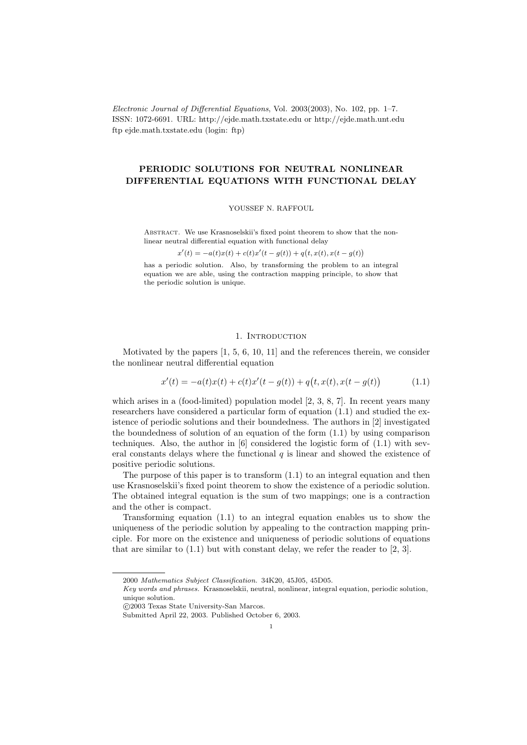Electronic Journal of Differential Equations, Vol. 2003(2003), No. 102, pp. 1–7. ISSN: 1072-6691. URL: http://ejde.math.txstate.edu or http://ejde.math.unt.edu ftp ejde.math.txstate.edu (login: ftp)

# PERIODIC SOLUTIONS FOR NEUTRAL NONLINEAR DIFFERENTIAL EQUATIONS WITH FUNCTIONAL DELAY

## YOUSSEF N. RAFFOUL

ABSTRACT. We use Krasnoselskii's fixed point theorem to show that the nonlinear neutral differential equation with functional delay

 $x'(t) = -a(t)x(t) + c(t)x'(t - g(t)) + q(t, x(t), x(t - g(t)))$ 

has a periodic solution. Also, by transforming the problem to an integral equation we are able, using the contraction mapping principle, to show that the periodic solution is unique.

# 1. INTRODUCTION

Motivated by the papers [1, 5, 6, 10, 11] and the references therein, we consider the nonlinear neutral differential equation

$$
x'(t) = -a(t)x(t) + c(t)x'(t - g(t)) + q(t, x(t), x(t - g(t))
$$
\n(1.1)

which arises in a (food-limited) population model [2, 3, 8, 7]. In recent years many researchers have considered a particular form of equation (1.1) and studied the existence of periodic solutions and their boundedness. The authors in [2] investigated the boundedness of solution of an equation of the form  $(1.1)$  by using comparison techniques. Also, the author in [6] considered the logistic form of (1.1) with several constants delays where the functional  $q$  is linear and showed the existence of positive periodic solutions.

The purpose of this paper is to transform (1.1) to an integral equation and then use Krasnoselskii's fixed point theorem to show the existence of a periodic solution. The obtained integral equation is the sum of two mappings; one is a contraction and the other is compact.

Transforming equation (1.1) to an integral equation enables us to show the uniqueness of the periodic solution by appealing to the contraction mapping principle. For more on the existence and uniqueness of periodic solutions of equations that are similar to  $(1.1)$  but with constant delay, we refer the reader to  $[2, 3]$ .

<sup>2000</sup> Mathematics Subject Classification. 34K20, 45J05, 45D05.

Key words and phrases. Krasnoselskii, neutral, nonlinear, integral equation, periodic solution, unique solution.

c 2003 Texas State University-San Marcos.

Submitted April 22, 2003. Published October 6, 2003.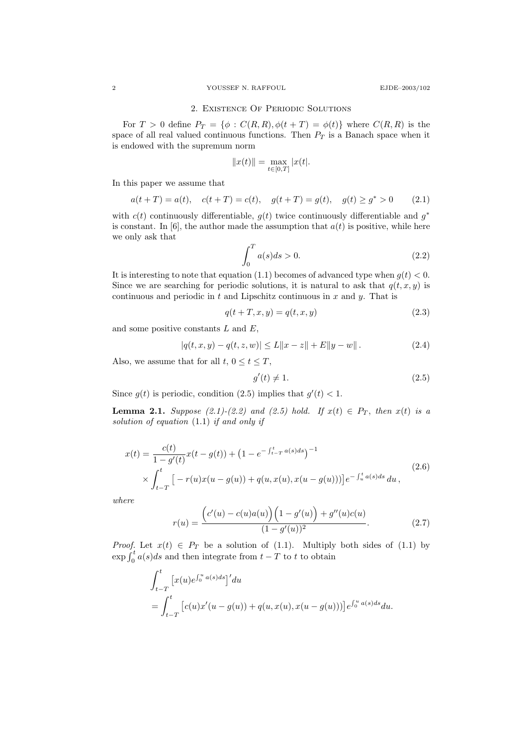#### 2. Existence Of Periodic Solutions

For  $T > 0$  define  $P_T = \{\phi : C(R, R), \phi(t + T) = \phi(t)\}\$  where  $C(R, R)$  is the space of all real valued continuous functions. Then  $P_T$  is a Banach space when it is endowed with the supremum norm

$$
||x(t)|| = \max_{t \in [0,T]} |x(t|.
$$

In this paper we assume that

$$
a(t+T) = a(t), \quad c(t+T) = c(t), \quad g(t+T) = g(t), \quad g(t) \ge g^* > 0 \tag{2.1}
$$

with  $c(t)$  continuously differentiable,  $g(t)$  twice continuously differentiable and  $g^*$ is constant. In [6], the author made the assumption that  $a(t)$  is positive, while here we only ask that

$$
\int_0^T a(s)ds > 0.
$$
\n(2.2)

It is interesting to note that equation (1.1) becomes of advanced type when  $g(t) < 0$ . Since we are searching for periodic solutions, it is natural to ask that  $q(t, x, y)$  is continuous and periodic in  $t$  and Lipschitz continuous in  $x$  and  $y$ . That is

$$
q(t+T, x, y) = q(t, x, y)
$$
\n
$$
(2.3)
$$

and some positive constants  $L$  and  $E$ ,

$$
|q(t, x, y) - q(t, z, w)| \le L||x - z|| + E||y - w||.
$$
 (2.4)

Also, we assume that for all  $t, 0 \le t \le T$ ,

$$
g'(t) \neq 1. \tag{2.5}
$$

Since  $g(t)$  is periodic, condition (2.5) implies that  $g'(t) < 1$ .

**Lemma 2.1.** Suppose (2.1)-(2.2) and (2.5) hold. If  $x(t) \in P_T$ , then  $x(t)$  is a solution of equation (1.1) if and only if

$$
x(t) = \frac{c(t)}{1 - g'(t)} x(t - g(t)) + (1 - e^{-\int_{t-T}^{t} a(s)ds})^{-1}
$$
  
 
$$
\times \int_{t-T}^{t} \left[ -r(u)x(u - g(u)) + q(u, x(u), x(u - g(u))) \right] e^{-\int_{u}^{t} a(s)ds} du,
$$
 (2.6)

where

$$
r(u) = \frac{(c'(u) - c(u)a(u))(1 - g'(u)) + g''(u)c(u)}{(1 - g'(u))^2}.
$$
 (2.7)

*Proof.* Let  $x(t) \in P_T$  be a solution of (1.1). Multiply both sides of (1.1) by  $\exp\int_0^t a(s)ds$  and then integrate from  $t - T$  to t to obtain

$$
\int_{t-T}^{t} \left[ x(u)e^{\int_0^u a(s)ds} \right]' du
$$
  
= 
$$
\int_{t-T}^{t} \left[ c(u)x'(u-g(u)) + q(u,x(u),x(u-g(u))) \right] e^{\int_0^u a(s)ds} du.
$$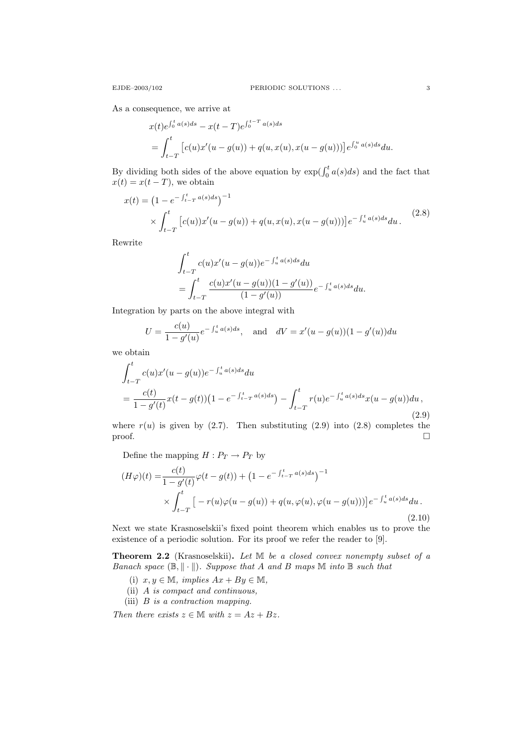As a consequence, we arrive at

$$
x(t)e^{\int_0^t a(s)ds} - x(t-T)e^{\int_0^{t-T} a(s)ds}
$$
  
= 
$$
\int_{t-T}^t [c(u)x'(u-g(u)) + q(u,x(u),x(u-g(u)))]e^{\int_0^u a(s)ds} du.
$$

By dividing both sides of the above equation by  $\exp(\int_0^t a(s)ds)$  and the fact that  $x(t) = x(t - T)$ , we obtain

$$
x(t) = \left(1 - e^{-\int_{t-T}^{t} a(s)ds}\right)^{-1}
$$
  
 
$$
\times \int_{t-T}^{t} \left[c(u)\right] x'(u - g(u)) + q(u, x(u), x(u - g(u)))\right] e^{-\int_{u}^{t} a(s)ds} du.
$$
 (2.8)

Rewrite

$$
\int_{t-T}^{t} c(u)x'(u - g(u))e^{-\int_{u}^{t} a(s)ds} du
$$
  
= 
$$
\int_{t-T}^{t} \frac{c(u)x'(u - g(u))(1 - g'(u))}{(1 - g'(u))} e^{-\int_{u}^{t} a(s)ds} du.
$$

Integration by parts on the above integral with

$$
U = \frac{c(u)}{1 - g'(u)} e^{-\int_u^t a(s)ds}, \text{ and } dV = x'(u - g(u))(1 - g'(u))du
$$

we obtain

$$
\int_{t-T}^{t} c(u)x'(u - g(u))e^{-\int_{u}^{t} a(s)ds} du
$$
\n
$$
= \frac{c(t)}{1 - g'(t)}x(t - g(t))\left(1 - e^{-\int_{t-T}^{t} a(s)ds}\right) - \int_{t-T}^{t} r(u)e^{-\int_{u}^{t} a(s)ds}x(u - g(u))du,
$$
\n(2.9)

where  $r(u)$  is given by (2.7). Then substituting (2.9) into (2.8) completes the  $\Box$ 

Define the mapping  $H: P_T \rightarrow P_T$  by

$$
(H\varphi)(t) = \frac{c(t)}{1 - g'(t)} \varphi(t - g(t)) + \left(1 - e^{-\int_{t-T}^{t} a(s)ds}\right)^{-1}
$$
  
 
$$
\times \int_{t-T}^{t} \left[ -r(u)\varphi(u - g(u)) + q(u, \varphi(u), \varphi(u - g(u))) \right] e^{-\int_{u}^{t} a(s)ds} du.
$$
(2.10)

Next we state Krasnoselskii's fixed point theorem which enables us to prove the existence of a periodic solution. For its proof we refer the reader to [9].

Theorem 2.2 (Krasnoselskii). Let M be a closed convex nonempty subset of a Banach space  $(\mathbb{B}, \|\cdot\|)$ . Suppose that A and B maps M into B such that

- (i)  $x, y \in \mathbb{M}$ , implies  $Ax + By \in \mathbb{M}$ ,
- (ii) A is compact and continuous,
- (iii) B is a contraction mapping.

Then there exists  $z \in \mathbb{M}$  with  $z = Az + Bz$ .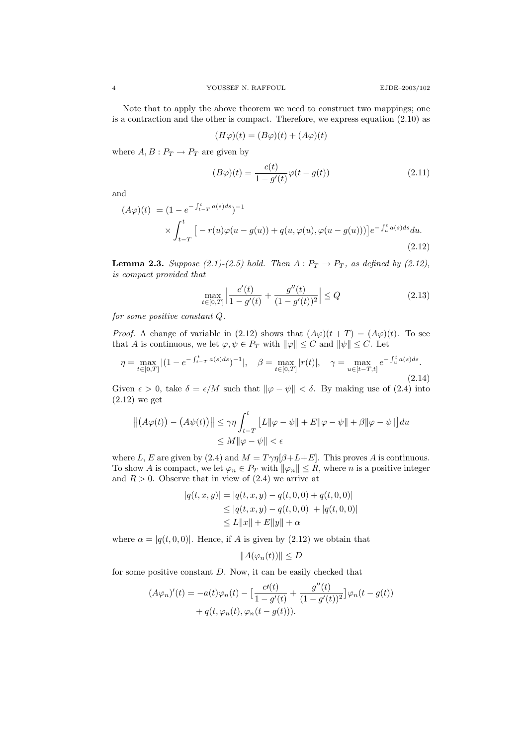Note that to apply the above theorem we need to construct two mappings; one is a contraction and the other is compact. Therefore, we express equation (2.10) as

$$
(H\varphi)(t) = (B\varphi)(t) + (A\varphi)(t)
$$

where  $A, B: P_T \to P_T$  are given by

$$
(B\varphi)(t) = \frac{c(t)}{1 - g'(t)}\varphi(t - g(t))
$$
\n(2.11)

and

$$
(A\varphi)(t) = (1 - e^{-\int_{t-T}^{t} a(s)ds})^{-1}
$$
  
 
$$
\times \int_{t-T}^{t} \left[ -r(u)\varphi(u - g(u)) + q(u, \varphi(u), \varphi(u - g(u))) \right] e^{-\int_{u}^{t} a(s)ds} du.
$$
  
(2.12)

**Lemma 2.3.** Suppose (2.1)-(2.5) hold. Then  $A: P_T \to P_T$ , as defined by (2.12), is compact provided that

$$
\max_{t \in [0,T]} \left| \frac{c'(t)}{1 - g'(t)} + \frac{g''(t)}{(1 - g'(t))^2} \right| \le Q \tag{2.13}
$$

for some positive constant Q.

*Proof.* A change of variable in (2.12) shows that  $(A\varphi)(t+T) = (A\varphi)(t)$ . To see that A is continuous, we let  $\varphi, \psi \in P_T$  with  $\|\varphi\| \leq C$  and  $\|\psi\| \leq C$ . Let

$$
\eta = \max_{t \in [0,T]} |(1 - e^{-\int_{t-T}^{t} a(s)ds})^{-1}|, \quad \beta = \max_{t \in [0,T]} |r(t)|, \quad \gamma = \max_{u \in [t-T,t]} e^{-\int_{u}^{t} a(s)ds}.
$$
\n(2.14)

Given  $\epsilon > 0$ , take  $\delta = \epsilon/M$  such that  $\|\varphi - \psi\| < \delta$ . By making use of (2.4) into (2.12) we get

$$
||(A\varphi(t)) - (A\psi(t))|| \le \gamma \eta \int_{t-T}^{t} [L||\varphi - \psi|| + E||\varphi - \psi|| + \beta ||\varphi - \psi||] du
$$
  

$$
\le M||\varphi - \psi|| < \epsilon
$$

where L, E are given by (2.4) and  $M = T\gamma\eta[\beta+L+E]$ . This proves A is continuous. To show A is compact, we let  $\varphi_n \in P_T$  with  $\|\varphi_n\| \leq R$ , where n is a positive integer and  $R > 0$ . Observe that in view of  $(2.4)$  we arrive at

$$
|q(t, x, y)| = |q(t, x, y) - q(t, 0, 0) + q(t, 0, 0)|
$$
  
\n
$$
\leq |q(t, x, y) - q(t, 0, 0)| + |q(t, 0, 0)|
$$
  
\n
$$
\leq L||x|| + E||y|| + \alpha
$$

where  $\alpha = |q(t, 0, 0)|$ . Hence, if A is given by (2.12) we obtain that

$$
||A(\varphi_n(t))|| \le D
$$

for some positive constant D. Now, it can be easily checked that

$$
(A\varphi_n)'(t) = -a(t)\varphi_n(t) - \left[\frac{c'(t)}{1 - g'(t)} + \frac{g''(t)}{(1 - g'(t))^2}\right]\varphi_n(t - g(t)) + q(t, \varphi_n(t), \varphi_n(t - g(t))).
$$

 $\mathbf{0}$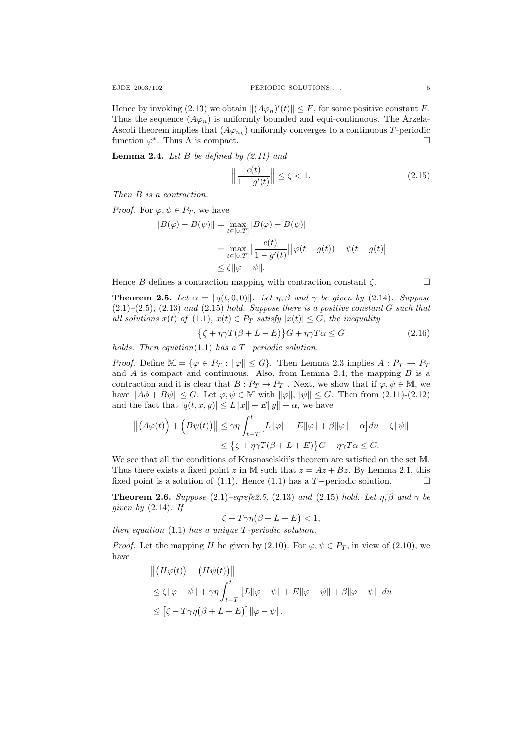Hence by invoking (2.13) we obtain  $||(A\varphi_n)'(t)|| \leq F$ , for some positive constant F. Thus the sequence  $(A\varphi_n)$  is uniformly bounded and equi-continuous. The Arzela-Ascoli theorem implies that  $(A\varphi_{n_k})$  uniformly converges to a continuous T-periodic function  $\varphi^*$ . Thus A is compact.

**Lemma 2.4.** Let  $B$  be defined by  $(2.11)$  and

$$
\left\|\frac{c(t)}{1 - g'(t)}\right\| \le \zeta < 1. \tag{2.15}
$$

Then B is a contraction.

*Proof.* For  $\varphi, \psi \in P_T$ , we have

$$
||B(\varphi) - B(\psi)|| = \max_{t \in [0,T]} |B(\varphi) - B(\psi)|
$$
  
= 
$$
\max_{t \in [0,T]} \left| \frac{c(t)}{1 - g'(t)} \right| |\varphi(t - g(t)) - \psi(t - g(t)|)
$$
  

$$
\leq \zeta ||\varphi - \psi||.
$$

Hence B defines a contraction mapping with contraction constant  $\zeta$ .

**Theorem 2.5.** Let  $\alpha = ||q(t, 0, 0)||$ . Let  $\eta, \beta$  and  $\gamma$  be given by (2.14). Suppose  $(2.1)$ – $(2.5)$ ,  $(2.13)$  and  $(2.15)$  hold. Suppose there is a positive constant G such that all solutions  $x(t)$  of (1.1),  $x(t) \in P_T$  satisfy  $|x(t)| \leq G$ , the inequality

$$
\{\zeta + \eta \gamma T(\beta + L + E)\}G + \eta \gamma T\alpha \le G\tag{2.16}
$$

holds. Then equation(1.1) has a  $T-periodic$  solution.

*Proof.* Define  $\mathbb{M} = {\varphi \in P_T : ||\varphi|| \le G}$ . Then Lemma 2.3 implies  $A : P_T \to P_T$ and  $A$  is compact and continuous. Also, from Lemma 2.4, the mapping  $B$  is a contraction and it is clear that  $B: P_T \to P_T$ . Next, we show that if  $\varphi, \psi \in M$ , we have  $||A\phi + B\psi|| \leq G$ . Let  $\varphi, \psi \in \mathbb{M}$  with  $||\varphi||, ||\psi|| \leq G$ . Then from (2.11)-(2.12) and the fact that  $|q(t, x, y)| \leq L||x|| + E||y|| + \alpha$ , we have

$$
||(A\varphi(t)) + (B\psi(t))|| \le \gamma \eta \int_{t-T}^{t} [L||\varphi|| + E||\varphi|| + \beta ||\varphi|| + \alpha] du + \zeta ||\psi||
$$
  

$$
\le \{\zeta + \eta \gamma T(\beta + L + E)\}G + \eta \gamma T \alpha \le G.
$$

We see that all the conditions of Krasnoselskii's theorem are satisfied on the set M. Thus there exists a fixed point z in M such that  $z = Az + Bz$ . By Lemma 2.1, this fixed point is a solution of (1.1). Hence (1.1) has a T-periodic solution.  $\Box$ 

**Theorem 2.6.** Suppose (2.1)–eqrefe2.5, (2.13) and (2.15) hold. Let  $\eta$ ,  $\beta$  and  $\gamma$  be given by  $(2.14)$ . If

$$
\zeta + T\gamma\eta(\beta + L + E) < 1,
$$

then equation  $(1.1)$  has a unique T-periodic solution.

*Proof.* Let the mapping H be given by (2.10). For  $\varphi, \psi \in P_T$ , in view of (2.10), we have

$$
||(H\varphi(t)) - (H\psi(t))||
$$
  
\n
$$
\leq \zeta ||\varphi - \psi|| + \gamma \eta \int_{t-T}^{t} [L||\varphi - \psi|| + E||\varphi - \psi|| + \beta ||\varphi - \psi||] du
$$
  
\n
$$
\leq [\zeta + T\gamma \eta(\beta + L + E)] ||\varphi - \psi||.
$$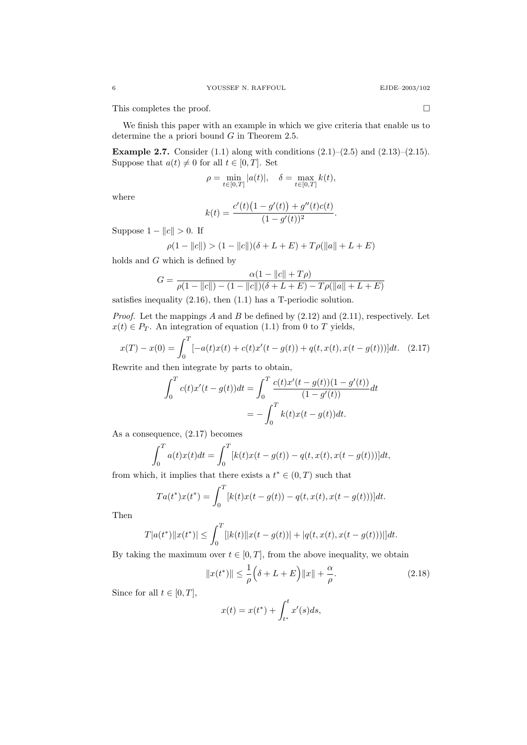This completes the proof.

We finish this paper with an example in which we give criteria that enable us to determine the a priori bound G in Theorem 2.5.

**Example 2.7.** Consider (1.1) along with conditions  $(2.1)$ – $(2.5)$  and  $(2.13)$ – $(2.15)$ . Suppose that  $a(t) \neq 0$  for all  $t \in [0, T]$ . Set

$$
\rho = \min_{t \in [0,T]} |a(t)|, \quad \delta = \max_{t \in [0,T]} k(t),
$$

where

$$
k(t) = \frac{c'(t)\big(1 - g'(t)\big) + g''(t)c(t)}{(1 - g'(t))^2}.
$$

Suppose  $1 - ||c|| > 0$ . If

$$
\rho(1 - ||c||) > (1 - ||c||)(\delta + L + E) + T\rho(||a|| + L + E)
$$

holds and G which is defined by

$$
G = \frac{\alpha(1 - ||c|| + T\rho)}{\rho(1 - ||c||) - (1 - ||c||)(\delta + L + E) - T\rho(||a|| + L + E)}
$$

satisfies inequality (2.16), then (1.1) has a T-periodic solution.

*Proof.* Let the mappings  $A$  and  $B$  be defined by  $(2.12)$  and  $(2.11)$ , respectively. Let  $x(t) \in P_T$ . An integration of equation (1.1) from 0 to T yields,

$$
x(T) - x(0) = \int_0^T [-a(t)x(t) + c(t)x'(t - g(t)) + q(t, x(t), x(t - g(t)))]dt.
$$
 (2.17)

Rewrite and then integrate by parts to obtain,

$$
\int_0^T c(t)x'(t - g(t))dt = \int_0^T \frac{c(t)x'(t - g(t))(1 - g'(t))}{(1 - g'(t))}dt
$$

$$
= -\int_0^T k(t)x(t - g(t))dt.
$$

As a consequence, (2.17) becomes

$$
\int_0^T a(t)x(t)dt = \int_0^T [k(t)x(t - g(t)) - q(t, x(t), x(t - g(t)))]dt,
$$

from which, it implies that there exists a  $t^* \in (0,T)$  such that

$$
Ta(t^*)x(t^*) = \int_0^T [k(t)x(t - g(t)) - q(t, x(t), x(t - g(t)))]dt.
$$

Then

$$
T|a(t^*)||x(t^*)| \leq \int_0^T [|k(t)||x(t - g(t))| + |q(t, x(t), x(t - g(t)))|]dt.
$$

By taking the maximum over  $t \in [0, T]$ , from the above inequality, we obtain

$$
||x(t^*)|| \le \frac{1}{\rho} \left(\delta + L + E\right) ||x|| + \frac{\alpha}{\rho}.\tag{2.18}
$$

Since for all  $t \in [0, T]$ ,

$$
x(t) = x(t^*) + \int_{t^*}^t x'(s)ds,
$$